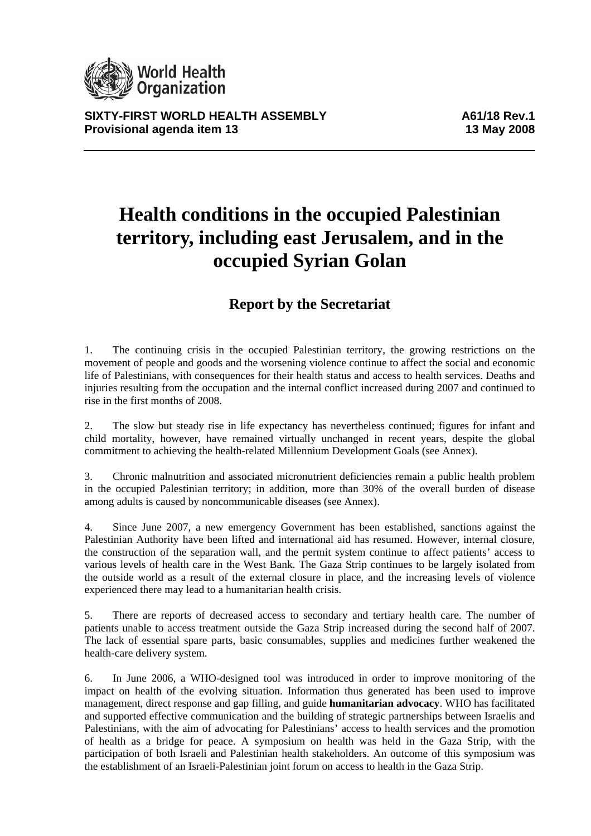

**SIXTY-FIRST WORLD HEALTH ASSEMBLY A61/18 Rev.1 Provisional agenda item 13** 13 May 2008

# **Health conditions in the occupied Palestinian territory, including east Jerusalem, and in the occupied Syrian Golan**

# **Report by the Secretariat**

1. The continuing crisis in the occupied Palestinian territory, the growing restrictions on the movement of people and goods and the worsening violence continue to affect the social and economic life of Palestinians, with consequences for their health status and access to health services. Deaths and injuries resulting from the occupation and the internal conflict increased during 2007 and continued to rise in the first months of 2008.

2. The slow but steady rise in life expectancy has nevertheless continued; figures for infant and child mortality, however, have remained virtually unchanged in recent years, despite the global commitment to achieving the health-related Millennium Development Goals (see Annex).

3. Chronic malnutrition and associated micronutrient deficiencies remain a public health problem in the occupied Palestinian territory; in addition, more than 30% of the overall burden of disease among adults is caused by noncommunicable diseases (see Annex).

4. Since June 2007, a new emergency Government has been established, sanctions against the Palestinian Authority have been lifted and international aid has resumed. However, internal closure, the construction of the separation wall, and the permit system continue to affect patients' access to various levels of health care in the West Bank. The Gaza Strip continues to be largely isolated from the outside world as a result of the external closure in place, and the increasing levels of violence experienced there may lead to a humanitarian health crisis.

5. There are reports of decreased access to secondary and tertiary health care. The number of patients unable to access treatment outside the Gaza Strip increased during the second half of 2007. The lack of essential spare parts, basic consumables, supplies and medicines further weakened the health-care delivery system.

6. In June 2006, a WHO-designed tool was introduced in order to improve monitoring of the impact on health of the evolving situation. Information thus generated has been used to improve management, direct response and gap filling, and guide **humanitarian advocacy**. WHO has facilitated and supported effective communication and the building of strategic partnerships between Israelis and Palestinians, with the aim of advocating for Palestinians' access to health services and the promotion of health as a bridge for peace. A symposium on health was held in the Gaza Strip, with the participation of both Israeli and Palestinian health stakeholders. An outcome of this symposium was the establishment of an Israeli-Palestinian joint forum on access to health in the Gaza Strip.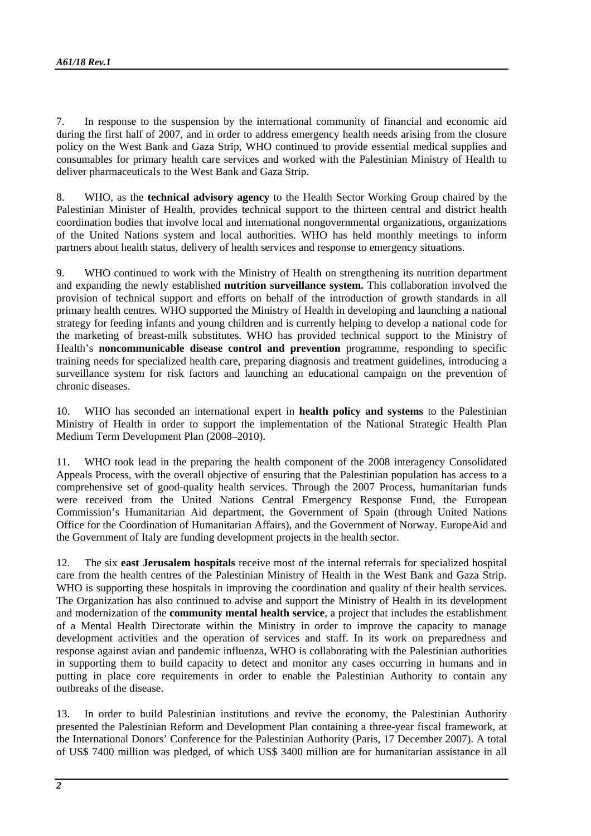7. In response to the suspension by the international community of financial and economic aid during the first half of 2007, and in order to address emergency health needs arising from the closure policy on the West Bank and Gaza Strip, WHO continued to provide essential medical supplies and consumables for primary health care services and worked with the Palestinian Ministry of Health to deliver pharmaceuticals to the West Bank and Gaza Strip.

8. WHO, as the **technical advisory agency** to the Health Sector Working Group chaired by the Palestinian Minister of Health, provides technical support to the thirteen central and district health coordination bodies that involve local and international nongovernmental organizations, organizations of the United Nations system and local authorities. WHO has held monthly meetings to inform partners about health status, delivery of health services and response to emergency situations.

9. WHO continued to work with the Ministry of Health on strengthening its nutrition department and expanding the newly established **nutrition surveillance system.** This collaboration involved the provision of technical support and efforts on behalf of the introduction of growth standards in all primary health centres. WHO supported the Ministry of Health in developing and launching a national strategy for feeding infants and young children and is currently helping to develop a national code for the marketing of breast-milk substitutes. WHO has provided technical support to the Ministry of Health's **noncommunicable disease control and prevention** programme, responding to specific training needs for specialized health care, preparing diagnosis and treatment guidelines, introducing a surveillance system for risk factors and launching an educational campaign on the prevention of chronic diseases.

10. WHO has seconded an international expert in **health policy and systems** to the Palestinian Ministry of Health in order to support the implementation of the National Strategic Health Plan Medium Term Development Plan (2008–2010).

11. WHO took lead in the preparing the health component of the 2008 interagency Consolidated Appeals Process, with the overall objective of ensuring that the Palestinian population has access to a comprehensive set of good-quality health services. Through the 2007 Process, humanitarian funds were received from the United Nations Central Emergency Response Fund, the European Commission's Humanitarian Aid department, the Government of Spain (through United Nations Office for the Coordination of Humanitarian Affairs), and the Government of Norway. EuropeAid and the Government of Italy are funding development projects in the health sector.

12. The six **east Jerusalem hospitals** receive most of the internal referrals for specialized hospital care from the health centres of the Palestinian Ministry of Health in the West Bank and Gaza Strip. WHO is supporting these hospitals in improving the coordination and quality of their health services. The Organization has also continued to advise and support the Ministry of Health in its development and modernization of the **community mental health service**, a project that includes the establishment of a Mental Health Directorate within the Ministry in order to improve the capacity to manage development activities and the operation of services and staff. In its work on preparedness and response against avian and pandemic influenza, WHO is collaborating with the Palestinian authorities in supporting them to build capacity to detect and monitor any cases occurring in humans and in putting in place core requirements in order to enable the Palestinian Authority to contain any outbreaks of the disease.

13. In order to build Palestinian institutions and revive the economy, the Palestinian Authority presented the Palestinian Reform and Development Plan containing a three-year fiscal framework, at the International Donors' Conference for the Palestinian Authority (Paris, 17 December 2007). A total of US\$ 7400 million was pledged, of which US\$ 3400 million are for humanitarian assistance in all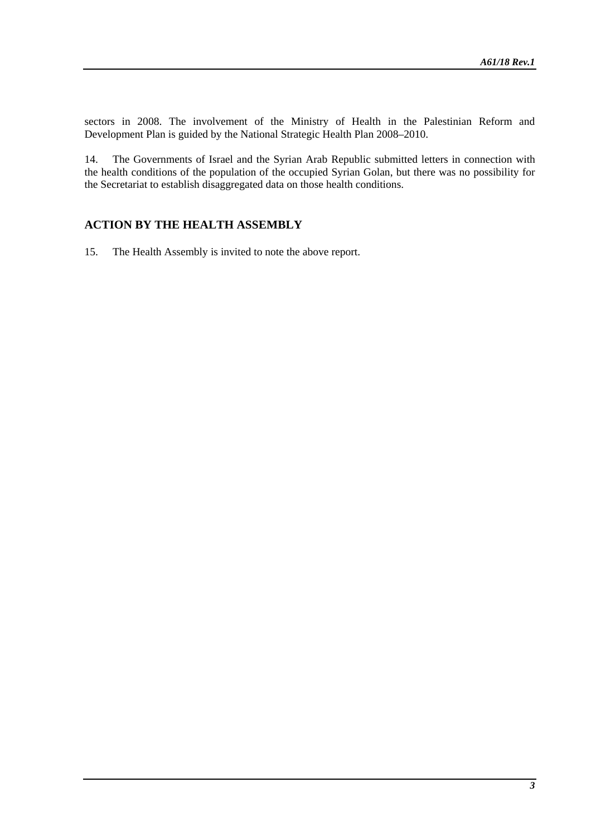sectors in 2008. The involvement of the Ministry of Health in the Palestinian Reform and Development Plan is guided by the National Strategic Health Plan 2008–2010.

14. The Governments of Israel and the Syrian Arab Republic submitted letters in connection with the health conditions of the population of the occupied Syrian Golan, but there was no possibility for the Secretariat to establish disaggregated data on those health conditions.

# **ACTION BY THE HEALTH ASSEMBLY**

15. The Health Assembly is invited to note the above report.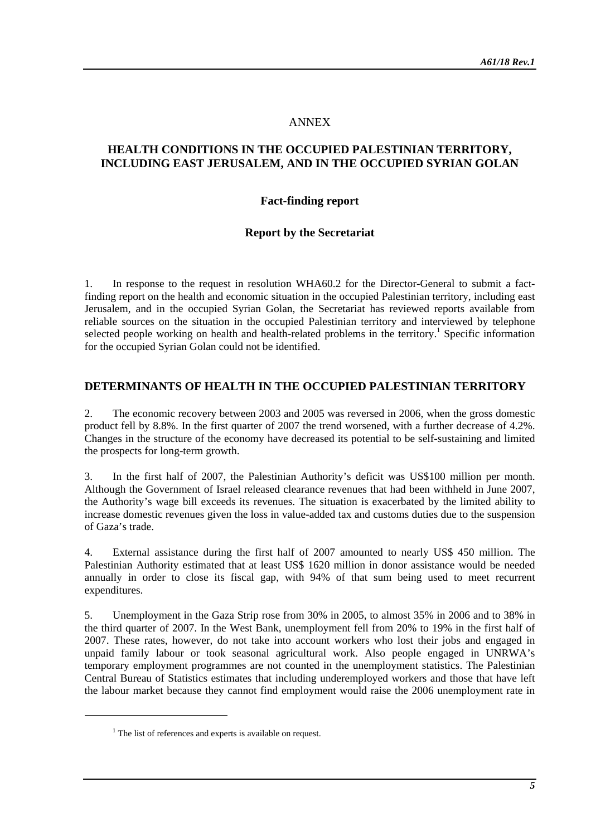#### ANNEX

### **HEALTH CONDITIONS IN THE OCCUPIED PALESTINIAN TERRITORY, INCLUDING EAST JERUSALEM, AND IN THE OCCUPIED SYRIAN GOLAN**

#### **Fact-finding report**

#### **Report by the Secretariat**

1. In response to the request in resolution WHA60.2 for the Director-General to submit a factfinding report on the health and economic situation in the occupied Palestinian territory, including east Jerusalem, and in the occupied Syrian Golan, the Secretariat has reviewed reports available from reliable sources on the situation in the occupied Palestinian territory and interviewed by telephone selected people working on health and health-related problems in the territory.<sup>1</sup> Specific information for the occupied Syrian Golan could not be identified.

#### **DETERMINANTS OF HEALTH IN THE OCCUPIED PALESTINIAN TERRITORY**

2. The economic recovery between 2003 and 2005 was reversed in 2006, when the gross domestic product fell by 8.8%. In the first quarter of 2007 the trend worsened, with a further decrease of 4.2%. Changes in the structure of the economy have decreased its potential to be self-sustaining and limited the prospects for long-term growth.

3. In the first half of 2007, the Palestinian Authority's deficit was US\$100 million per month. Although the Government of Israel released clearance revenues that had been withheld in June 2007, the Authority's wage bill exceeds its revenues. The situation is exacerbated by the limited ability to increase domestic revenues given the loss in value-added tax and customs duties due to the suspension of Gaza's trade.

4. External assistance during the first half of 2007 amounted to nearly US\$ 450 million. The Palestinian Authority estimated that at least US\$ 1620 million in donor assistance would be needed annually in order to close its fiscal gap, with 94% of that sum being used to meet recurrent expenditures.

5. Unemployment in the Gaza Strip rose from 30% in 2005, to almost 35% in 2006 and to 38% in the third quarter of 2007. In the West Bank, unemployment fell from 20% to 19% in the first half of 2007. These rates, however, do not take into account workers who lost their jobs and engaged in unpaid family labour or took seasonal agricultural work. Also people engaged in UNRWA's temporary employment programmes are not counted in the unemployment statistics. The Palestinian Central Bureau of Statistics estimates that including underemployed workers and those that have left the labour market because they cannot find employment would raise the 2006 unemployment rate in

 $<sup>1</sup>$  The list of references and experts is available on request.</sup>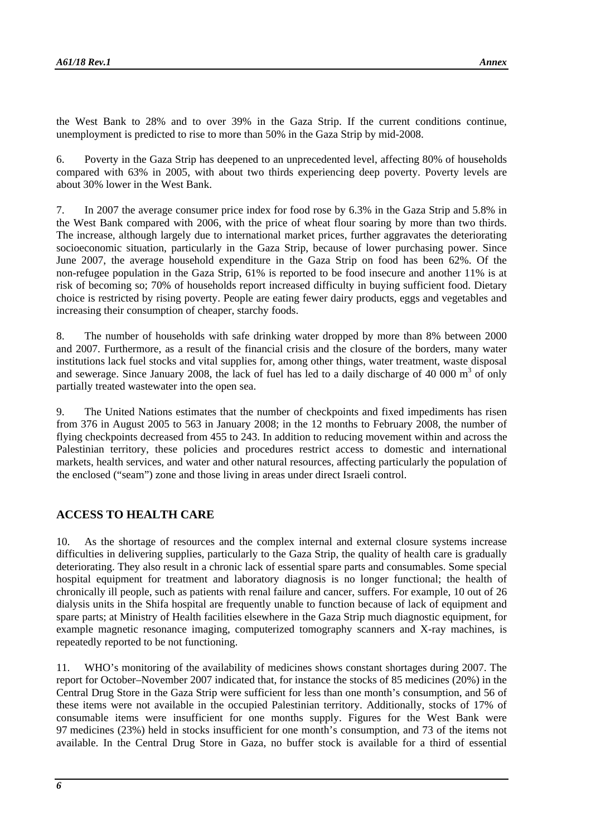the West Bank to 28% and to over 39% in the Gaza Strip. If the current conditions continue, unemployment is predicted to rise to more than 50% in the Gaza Strip by mid-2008.

6. Poverty in the Gaza Strip has deepened to an unprecedented level, affecting 80% of households compared with 63% in 2005, with about two thirds experiencing deep poverty. Poverty levels are about 30% lower in the West Bank.

7. In 2007 the average consumer price index for food rose by 6.3% in the Gaza Strip and 5.8% in the West Bank compared with 2006, with the price of wheat flour soaring by more than two thirds. The increase, although largely due to international market prices, further aggravates the deteriorating socioeconomic situation, particularly in the Gaza Strip, because of lower purchasing power. Since June 2007, the average household expenditure in the Gaza Strip on food has been 62%. Of the non-refugee population in the Gaza Strip, 61% is reported to be food insecure and another 11% is at risk of becoming so; 70% of households report increased difficulty in buying sufficient food. Dietary choice is restricted by rising poverty. People are eating fewer dairy products, eggs and vegetables and increasing their consumption of cheaper, starchy foods.

8. The number of households with safe drinking water dropped by more than 8% between 2000 and 2007. Furthermore, as a result of the financial crisis and the closure of the borders, many water institutions lack fuel stocks and vital supplies for, among other things, water treatment, waste disposal and sewerage. Since January 2008, the lack of fuel has led to a daily discharge of 40 000  $m<sup>3</sup>$  of only partially treated wastewater into the open sea.

9. The United Nations estimates that the number of checkpoints and fixed impediments has risen from 376 in August 2005 to 563 in January 2008; in the 12 months to February 2008, the number of flying checkpoints decreased from 455 to 243. In addition to reducing movement within and across the Palestinian territory, these policies and procedures restrict access to domestic and international markets, health services, and water and other natural resources, affecting particularly the population of the enclosed ("seam") zone and those living in areas under direct Israeli control.

## **ACCESS TO HEALTH CARE**

10. As the shortage of resources and the complex internal and external closure systems increase difficulties in delivering supplies, particularly to the Gaza Strip, the quality of health care is gradually deteriorating. They also result in a chronic lack of essential spare parts and consumables. Some special hospital equipment for treatment and laboratory diagnosis is no longer functional; the health of chronically ill people, such as patients with renal failure and cancer, suffers. For example, 10 out of 26 dialysis units in the Shifa hospital are frequently unable to function because of lack of equipment and spare parts; at Ministry of Health facilities elsewhere in the Gaza Strip much diagnostic equipment, for example magnetic resonance imaging, computerized tomography scanners and X-ray machines, is repeatedly reported to be not functioning.

11. WHO's monitoring of the availability of medicines shows constant shortages during 2007. The report for October–November 2007 indicated that, for instance the stocks of 85 medicines (20%) in the Central Drug Store in the Gaza Strip were sufficient for less than one month's consumption, and 56 of these items were not available in the occupied Palestinian territory. Additionally, stocks of 17% of consumable items were insufficient for one months supply. Figures for the West Bank were 97 medicines (23%) held in stocks insufficient for one month's consumption, and 73 of the items not available. In the Central Drug Store in Gaza, no buffer stock is available for a third of essential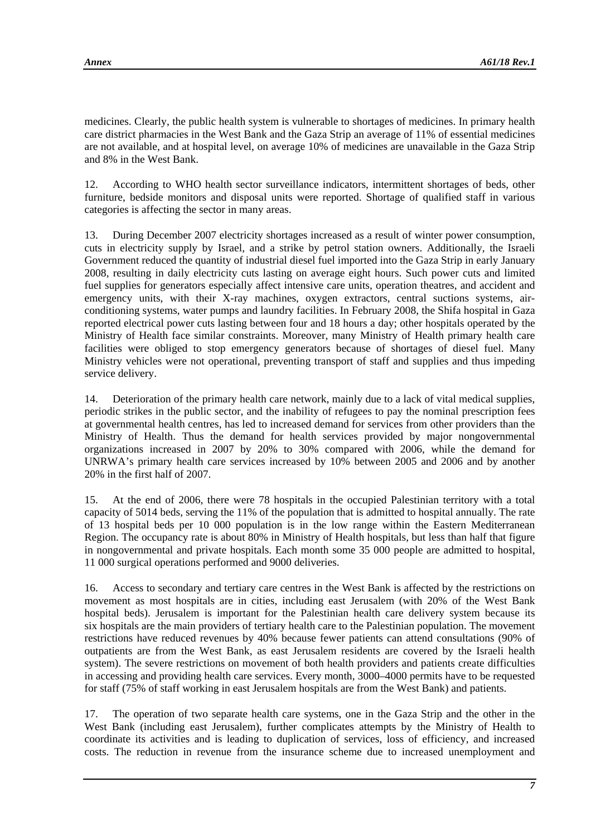medicines. Clearly, the public health system is vulnerable to shortages of medicines. In primary health care district pharmacies in the West Bank and the Gaza Strip an average of 11% of essential medicines are not available, and at hospital level, on average 10% of medicines are unavailable in the Gaza Strip and 8% in the West Bank.

12. According to WHO health sector surveillance indicators, intermittent shortages of beds, other furniture, bedside monitors and disposal units were reported. Shortage of qualified staff in various categories is affecting the sector in many areas.

13. During December 2007 electricity shortages increased as a result of winter power consumption, cuts in electricity supply by Israel, and a strike by petrol station owners. Additionally, the Israeli Government reduced the quantity of industrial diesel fuel imported into the Gaza Strip in early January 2008, resulting in daily electricity cuts lasting on average eight hours. Such power cuts and limited fuel supplies for generators especially affect intensive care units, operation theatres, and accident and emergency units, with their X-ray machines, oxygen extractors, central suctions systems, airconditioning systems, water pumps and laundry facilities. In February 2008, the Shifa hospital in Gaza reported electrical power cuts lasting between four and 18 hours a day; other hospitals operated by the Ministry of Health face similar constraints. Moreover, many Ministry of Health primary health care facilities were obliged to stop emergency generators because of shortages of diesel fuel. Many Ministry vehicles were not operational, preventing transport of staff and supplies and thus impeding service delivery.

14. Deterioration of the primary health care network, mainly due to a lack of vital medical supplies, periodic strikes in the public sector, and the inability of refugees to pay the nominal prescription fees at governmental health centres, has led to increased demand for services from other providers than the Ministry of Health. Thus the demand for health services provided by major nongovernmental organizations increased in 2007 by 20% to 30% compared with 2006, while the demand for UNRWA's primary health care services increased by 10% between 2005 and 2006 and by another 20% in the first half of 2007.

15. At the end of 2006, there were 78 hospitals in the occupied Palestinian territory with a total capacity of 5014 beds, serving the 11% of the population that is admitted to hospital annually. The rate of 13 hospital beds per 10 000 population is in the low range within the Eastern Mediterranean Region. The occupancy rate is about 80% in Ministry of Health hospitals, but less than half that figure in nongovernmental and private hospitals. Each month some 35 000 people are admitted to hospital, 11 000 surgical operations performed and 9000 deliveries.

16. Access to secondary and tertiary care centres in the West Bank is affected by the restrictions on movement as most hospitals are in cities, including east Jerusalem (with 20% of the West Bank hospital beds). Jerusalem is important for the Palestinian health care delivery system because its six hospitals are the main providers of tertiary health care to the Palestinian population. The movement restrictions have reduced revenues by 40% because fewer patients can attend consultations (90% of outpatients are from the West Bank, as east Jerusalem residents are covered by the Israeli health system). The severe restrictions on movement of both health providers and patients create difficulties in accessing and providing health care services. Every month, 3000–4000 permits have to be requested for staff (75% of staff working in east Jerusalem hospitals are from the West Bank) and patients.

17. The operation of two separate health care systems, one in the Gaza Strip and the other in the West Bank (including east Jerusalem), further complicates attempts by the Ministry of Health to coordinate its activities and is leading to duplication of services, loss of efficiency, and increased costs. The reduction in revenue from the insurance scheme due to increased unemployment and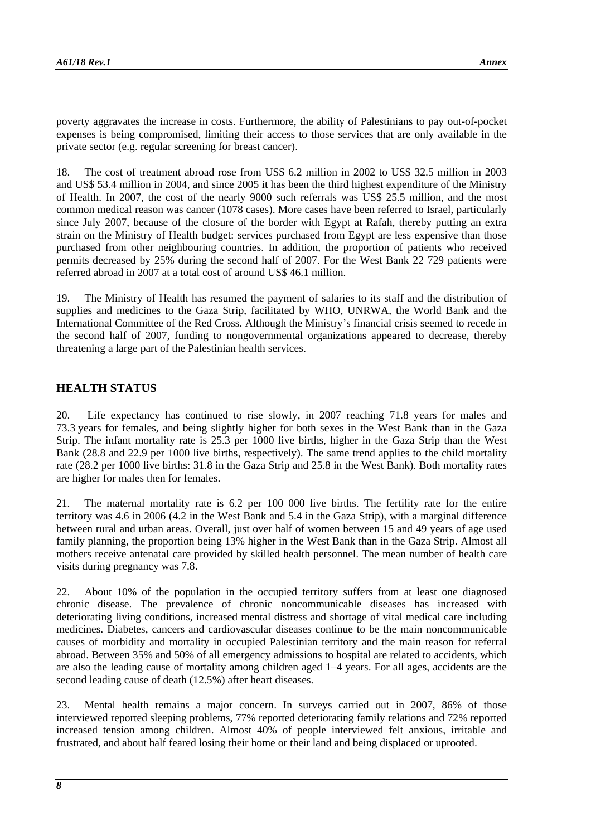poverty aggravates the increase in costs. Furthermore, the ability of Palestinians to pay out-of-pocket expenses is being compromised, limiting their access to those services that are only available in the private sector (e.g. regular screening for breast cancer).

18. The cost of treatment abroad rose from US\$ 6.2 million in 2002 to US\$ 32.5 million in 2003 and US\$ 53.4 million in 2004, and since 2005 it has been the third highest expenditure of the Ministry of Health. In 2007, the cost of the nearly 9000 such referrals was US\$ 25.5 million, and the most common medical reason was cancer (1078 cases). More cases have been referred to Israel, particularly since July 2007, because of the closure of the border with Egypt at Rafah, thereby putting an extra strain on the Ministry of Health budget: services purchased from Egypt are less expensive than those purchased from other neighbouring countries. In addition, the proportion of patients who received permits decreased by 25% during the second half of 2007. For the West Bank 22 729 patients were referred abroad in 2007 at a total cost of around US\$ 46.1 million.

19. The Ministry of Health has resumed the payment of salaries to its staff and the distribution of supplies and medicines to the Gaza Strip, facilitated by WHO, UNRWA, the World Bank and the International Committee of the Red Cross. Although the Ministry's financial crisis seemed to recede in the second half of 2007, funding to nongovernmental organizations appeared to decrease, thereby threatening a large part of the Palestinian health services.

#### **HEALTH STATUS**

20. Life expectancy has continued to rise slowly, in 2007 reaching 71.8 years for males and 73.3 years for females, and being slightly higher for both sexes in the West Bank than in the Gaza Strip. The infant mortality rate is 25.3 per 1000 live births, higher in the Gaza Strip than the West Bank (28.8 and 22.9 per 1000 live births, respectively). The same trend applies to the child mortality rate (28.2 per 1000 live births: 31.8 in the Gaza Strip and 25.8 in the West Bank). Both mortality rates are higher for males then for females.

21. The maternal mortality rate is 6.2 per 100 000 live births. The fertility rate for the entire territory was 4.6 in 2006 (4.2 in the West Bank and 5.4 in the Gaza Strip), with a marginal difference between rural and urban areas. Overall, just over half of women between 15 and 49 years of age used family planning, the proportion being 13% higher in the West Bank than in the Gaza Strip. Almost all mothers receive antenatal care provided by skilled health personnel. The mean number of health care visits during pregnancy was 7.8.

22. About 10% of the population in the occupied territory suffers from at least one diagnosed chronic disease. The prevalence of chronic noncommunicable diseases has increased with deteriorating living conditions, increased mental distress and shortage of vital medical care including medicines. Diabetes, cancers and cardiovascular diseases continue to be the main noncommunicable causes of morbidity and mortality in occupied Palestinian territory and the main reason for referral abroad. Between 35% and 50% of all emergency admissions to hospital are related to accidents, which are also the leading cause of mortality among children aged 1–4 years. For all ages, accidents are the second leading cause of death (12.5%) after heart diseases.

23. Mental health remains a major concern. In surveys carried out in 2007, 86% of those interviewed reported sleeping problems, 77% reported deteriorating family relations and 72% reported increased tension among children. Almost 40% of people interviewed felt anxious, irritable and frustrated, and about half feared losing their home or their land and being displaced or uprooted.